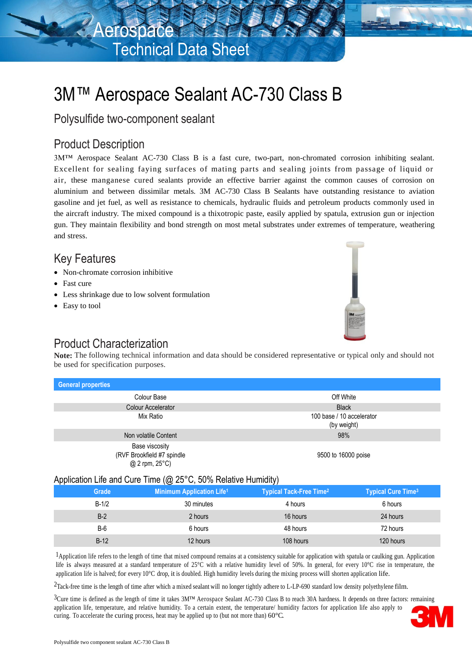

# 3M™ Aerospace Sealant AC-730 Class B

Polysulfide two-component sealant

### Product Description

3M™ Aerospace Sealant AC-730 Class B is a fast cure, two-part, non-chromated corrosion inhibiting sealant. Excellent for sealing faying surfaces of mating parts and sealing joints from passage of liquid or air, these manganese cured sealants provide an effective barrier against the common causes of corrosion on aluminium and between dissimilar metals. 3M AC-730 Class B Sealants have outstanding resistance to aviation gasoline and jet fuel, as well as resistance to chemicals, hydraulic fluids and petroleum products commonly used in the aircraft industry. The mixed compound is a thixotropic paste, easily applied by spatula, extrusion gun or injection gun. They maintain flexibility and bond strength on most metal substrates under extremes of temperature, weathering and stress.

### Key Features

- Non-chromate corrosion inhibitive
- Fast cure
- Less shrinkage due to low solvent formulation
- Easy to tool

## Product Characterization

**Note:** The following technical information and data should be considered representative or typical only and should not be used for specification purposes.

| <b>General properties</b>                                      |                                          |
|----------------------------------------------------------------|------------------------------------------|
| Colour Base                                                    | Off White                                |
| <b>Colour Accelerator</b>                                      | <b>Black</b>                             |
| Mix Ratio                                                      | 100 base / 10 accelerator<br>(by weight) |
| Non volatile Content                                           | 98%                                      |
| Base viscosity<br>(RVF Brookfield #7 spindle<br>@ 2 rpm, 25°C) | 9500 to 16000 poise                      |

#### Application Life and Cure Time (@ 25°C, 50% Relative Humidity)

| Grade   | <b>Minimum Application Life1</b> | <b>Typical Tack-Free Time?</b> | <b>Typical Cure Time<sup>3</sup></b> |
|---------|----------------------------------|--------------------------------|--------------------------------------|
| $B-1/2$ | 30 minutes                       | 4 hours                        | 6 hours                              |
| $B-2$   | 2 hours                          | 16 hours                       | 24 hours                             |
| $B-6$   | 6 hours                          | 48 hours                       | 72 hours                             |
| $B-12$  | 12 hours                         | 108 hours                      | 120 hours                            |

<sup>1</sup>Application life refers to the length of time that mixed compound remains at a consistency suitable for application with spatula or caulking gun. Application life is always measured at a standard temperature of 25°C with a relative humidity level of 50%. In general, for every 10°C rise in temperature, the application life is halved; for every  $10^{\circ}$ C drop, it is doubled. High humidity levels during the mixing process will shorten application life.

<sup>2</sup>Tack-free time is the length of time after which a mixed sealant will no longer tightly adhere to L-LP-690 standard low density polyethylene film.

 ${}^{3}$ Cure time is defined as the length of time it takes  $3M<sup>TM</sup>$  Aerospace Sealant AC-730 Class B to reach 30A hardness. It depends on three factors: remaining application life, temperature, and relative humidity. To a certain extent, the temperature/ humidity factors for application life also apply to curing. To accelerate the curing process, heat may be applied up to (but not more than) 60°C.

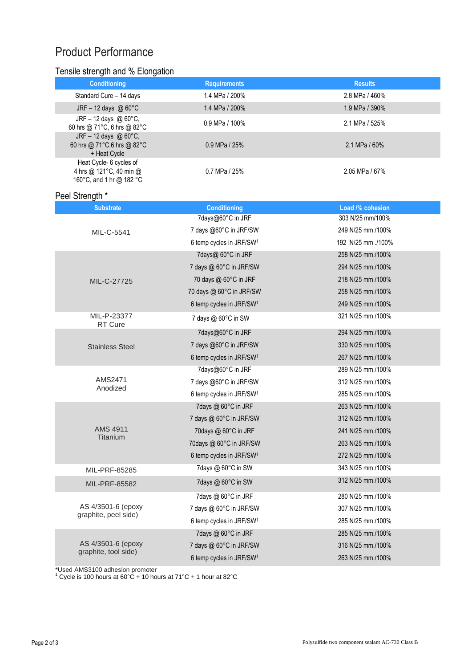## Product Performance

#### Tensile strength and % Elongation

| <b>Conditioning</b>                                                            | <b>Requirements</b> | <b>Results</b>   |
|--------------------------------------------------------------------------------|---------------------|------------------|
| Standard Cure - 14 days                                                        | 1.4 MPa / 200%      | 2.8 MPa / 460%   |
| JRF $-12$ days @ 60 $\degree$ C                                                | 1.4 MPa / 200%      | 1.9 MPa / 390%   |
| JRF – 12 days @ $60^{\circ}$ C,<br>60 hrs @ 71°C, 6 hrs @ 82°C                 | $0.9$ MPa / 100%    | 2.1 MPa / 525%   |
| JRF - 12 days @ $60^{\circ}$ C,<br>60 hrs @ 71°C,6 hrs @ 82°C<br>+ Heat Cycle  | $0.9$ MPa / 25%     | 2.1 MPa / $60\%$ |
| Heat Cycle- 6 cycles of<br>4 hrs @ 121°C, 40 min @<br>160°C, and 1 hr @ 182 °C | 0.7 MPa / 25%       | $2.05$ MPa / 67% |

#### Peel Strength \*

|                                            | 7days@60°C in JRF                    | 303 N/25 mm/100%  |
|--------------------------------------------|--------------------------------------|-------------------|
| MIL-C-5541                                 | 7 days @60°C in JRF/SW               | 249 N/25 mm./100% |
|                                            | 6 temp cycles in JRF/SW <sup>1</sup> | 100%. 192 N/25 mm |
|                                            | 7days@ 60°C in JRF                   | 258 N/25 mm./100% |
|                                            | 7 days @ 60°C in JRF/SW              | 294 N/25 mm./100% |
| MIL-C-27725                                | 70 days @ 60°C in JRF                | 218 N/25 mm./100% |
|                                            | 70 days @ 60°C in JRF/SW             | 258 N/25 mm./100% |
|                                            | 6 temp cycles in JRF/SW <sup>1</sup> | 249 N/25 mm./100% |
| MIL-P-23377<br>RT Cure                     | 7 days @ 60°C in SW                  | 321 N/25 mm./100% |
|                                            | 7days@60°C in JRF                    | 294 N/25 mm./100% |
| <b>Stainless Steel</b>                     | 7 days @60°C in JRF/SW               | 330 N/25 mm./100% |
|                                            | 6 temp cycles in JRF/SW <sup>1</sup> | 267 N/25 mm./100% |
|                                            | 7days@60°C in JRF                    | 289 N/25 mm./100% |
| AMS2471                                    | 7 days @60°C in JRF/SW               | 312 N/25 mm./100% |
| Anodized                                   | 6 temp cycles in JRF/SW <sup>1</sup> | 285 N/25 mm./100% |
|                                            | 7 days @ 60°C in JRF                 | 263 N/25 mm./100% |
|                                            | 7 days @ 60°C in JRF/SW              | 312 N/25 mm./100% |
| AMS 4911<br>Titanium                       | 70days @ 60°C in JRF                 | 241 N/25 mm./100% |
|                                            | 70 days @ 60°C in JRF/SW             | 263 N/25 mm./100% |
|                                            | 6 temp cycles in JRF/SW <sup>1</sup> | 272 N/25 mm./100% |
| MIL-PRF-85285                              | 7 days @ 60°C in SW                  | 343 N/25 mm./100% |
| <b>MIL-PRF-85582</b>                       | 7days @ 60°C in SW                   | 312 N/25 mm./100% |
| AS 4/3501-6 (epoxy<br>graphite, peel side) | 7 days @ 60°C in JRF                 | 280 N/25 mm./100% |
|                                            | 7 days @ 60°C in JRF/SW              | 307 N/25 mm./100% |
|                                            | 6 temp cycles in JRF/SW <sup>1</sup> | 285 N/25 mm./100% |
|                                            | 7 days @ 60°C in JRF                 | 285 N/25 mm./100% |
| AS 4/3501-6 (epoxy<br>graphite, tool side) | 7 days @ 60°C in JRF/SW              | 316 N/25 mm./100% |
|                                            | 6 temp cycles in JRF/SW <sup>1</sup> | 263 N/25 mm./100% |

\*Used AMS3100 adhesion promoter <sup>1</sup> Cycle is 100 hours at 60°C + 10 hours at 71°C + 1 hour at 82°C